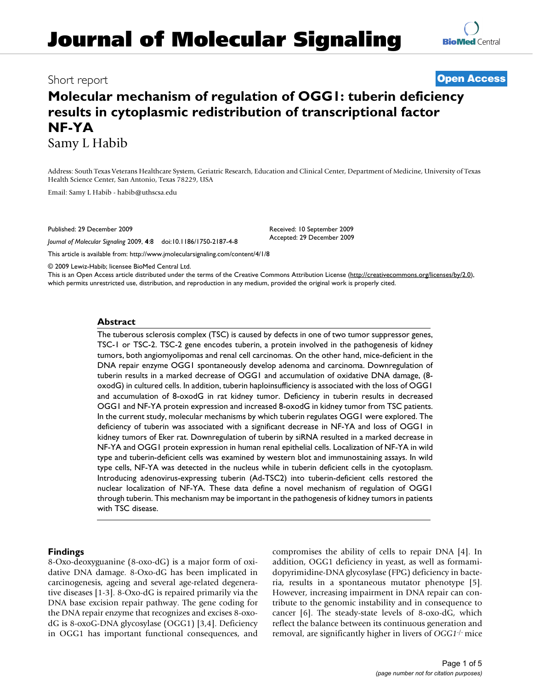# Short report **[Open Access](http://www.biomedcentral.com/info/about/charter/)**

# **Molecular mechanism of regulation of OGG1: tuberin deficiency results in cytoplasmic redistribution of transcriptional factor NF-YA** Samy L Habib

Address: South Texas Veterans Healthcare System, Geriatric Research, Education and Clinical Center, Department of Medicine, University of Texas Health Science Center, San Antonio, Texas 78229, USA

> Received: 10 September 2009 Accepted: 29 December 2009

Email: Samy L Habib - habib@uthscsa.ed[u](http://www.ncbi.nlm.nih.gov/entrez/query.fcgi?cmd=Retrieve&db=PubMed&dopt=Abstract&list_uids=20040097)

Published: 29 December 2009

*Journal of Molecular Signaling* 2009, **4**:8 doi:10.1186/1750-2187-4-8

[This article is available from: http://www.jmolecularsignaling.com/content/4/1/8](http://www.jmolecularsignaling.com/content/4/1/8)

© 2009 Lewiz-Habib; licensee BioMed Central Ltd.

This is an Open Access article distributed under the terms of the Creative Commons Attribution License [\(http://creativecommons.org/licenses/by/2.0\)](http://creativecommons.org/licenses/by/2.0), which permits unrestricted use, distribution, and reproduction in any medium, provided the original work is properly cited.

# **Abstract**

The tuberous sclerosis complex (TSC) is caused by defects in one of two tumor suppressor genes, TSC-1 or TSC-2. TSC-2 gene encodes tuberin, a protein involved in the pathogenesis of kidney tumors, both angiomyolipomas and renal cell carcinomas. On the other hand, mice-deficient in the DNA repair enzyme OGG1 spontaneously develop adenoma and carcinoma. Downregulation of tuberin results in a marked decrease of OGG1 and accumulation of oxidative DNA damage, (8 oxodG) in cultured cells. In addition, tuberin haploinsufficiency is associated with the loss of OGG1 and accumulation of 8-oxodG in rat kidney tumor. Deficiency in tuberin results in decreased OGG1 and NF-YA protein expression and increased 8-oxodG in kidney tumor from TSC patients. In the current study, molecular mechanisms by which tuberin regulates OGG1 were explored. The deficiency of tuberin was associated with a significant decrease in NF-YA and loss of OGG1 in kidney tumors of Eker rat. Downregulation of tuberin by siRNA resulted in a marked decrease in NF-YA and OGG1 protein expression in human renal epithelial cells. Localization of NF-YA in wild type and tuberin-deficient cells was examined by western blot and immunostaining assays. In wild type cells, NF-YA was detected in the nucleus while in tuberin deficient cells in the cyotoplasm. Introducing adenovirus-expressing tuberin (Ad-TSC2) into tuberin-deficient cells restored the nuclear localization of NF-YA. These data define a novel mechanism of regulation of OGG1 through tuberin. This mechanism may be important in the pathogenesis of kidney tumors in patients with TSC disease.

# **Findings**

8-Oxo-deoxyguanine (8-oxo-dG) is a major form of oxidative DNA damage. 8-Oxo-dG has been implicated in carcinogenesis, ageing and several age-related degenerative diseases [1-3]. 8-Oxo-dG is repaired primarily via the DNA base excision repair pathway. The gene coding for the DNA repair enzyme that recognizes and excises 8-oxodG is 8-oxoG-DNA glycosylase (OGG1) [3,4]. Deficiency in OGG1 has important functional consequences, and compromises the ability of cells to repair DNA [4]. In addition, OGG1 deficiency in yeast, as well as formamidopyrimidine-DNA glycosylase (FPG) deficiency in bacteria, results in a spontaneous mutator phenotype [5]. However, increasing impairment in DNA repair can contribute to the genomic instability and in consequence to cancer [6]. The steady-state levels of 8-oxo-dG, which reflect the balance between its continuous generation and removal, are significantly higher in livers of *OGG1*-/- mice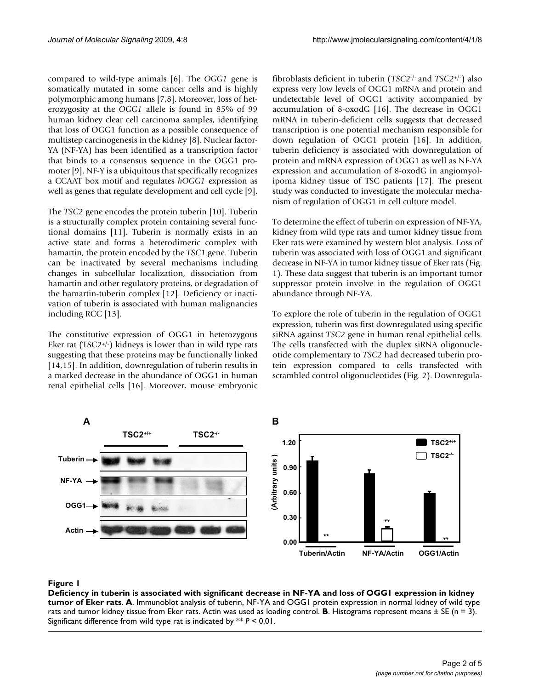compared to wild-type animals [6]. The *OGG1* gene is somatically mutated in some cancer cells and is highly polymorphic among humans [7,8]. Moreover, loss of heterozygosity at the *OGG1* allele is found in 85% of 99 human kidney clear cell carcinoma samples, identifying that loss of OGG1 function as a possible consequence of multistep carcinogenesis in the kidney [8]. Nuclear factor-YA (NF-YA) has been identified as a transcription factor that binds to a consensus sequence in the OGG1 promoter [9]. NF-Y is a ubiquitous that specifically recognizes a CCAAT box motif and regulates *hOGG1* expression as well as genes that regulate development and cell cycle [9].

The *TSC2* gene encodes the protein tuberin [10]. Tuberin is a structurally complex protein containing several functional domains [11]. Tuberin is normally exists in an active state and forms a heterodimeric complex with hamartin, the protein encoded by the *TSC1* gene. Tuberin can be inactivated by several mechanisms including changes in subcellular localization, dissociation from hamartin and other regulatory proteins, or degradation of the hamartin-tuberin complex [12]. Deficiency or inactivation of tuberin is associated with human malignancies including RCC [13].

The constitutive expression of OGG1 in heterozygous Eker rat (TSC2+/ $\cdot$ ) kidneys is lower than in wild type rats suggesting that these proteins may be functionally linked [14,15]. In addition, downregulation of tuberin results in a marked decrease in the abundance of OGG1 in human renal epithelial cells [16]. Moreover, mouse embryonic fibroblasts deficient in tuberin (*TSC2*-/- and *TSC2*+/-) also express very low levels of OGG1 mRNA and protein and undetectable level of OGG1 activity accompanied by accumulation of 8-oxodG [16]. The decrease in OGG1 mRNA in tuberin-deficient cells suggests that decreased transcription is one potential mechanism responsible for down regulation of OGG1 protein [16]. In addition, tuberin deficiency is associated with downregulation of protein and mRNA expression of OGG1 as well as NF-YA expression and accumulation of 8-oxodG in angiomyolipoma kidney tissue of TSC patients [17]. The present study was conducted to investigate the molecular mechanism of regulation of OGG1 in cell culture model.

To determine the effect of tuberin on expression of NF-YA, kidney from wild type rats and tumor kidney tissue from Eker rats were examined by western blot analysis. Loss of tuberin was associated with loss of OGG1 and significant decrease in NF-YA in tumor kidney tissue of Eker rats (Fig. 1). These data suggest that tuberin is an important tumor suppressor protein involve in the regulation of OGG1 abundance through NF-YA.

To explore the role of tuberin in the regulation of OGG1 expression, tuberin was first downregulated using specific siRNA against *TSC2* gene in human renal epithelial cells. The cells transfected with the duplex siRNA oligonucleotide complementary to *TSC2* had decreased tuberin protein expression compared to cells transfected with scrambled control oligonucleotides (Fig. 2). Downregula-



# Deficiency in tuberin is associated with rats **Figure 1** significant decrease in NF-YA and loss of OGG1 expression in kidney tumor of Eker

**Deficiency in tuberin is associated with significant decrease in NF-YA and loss of OGG1 expression in kidney tumor of Eker rats**. **A**. Immunoblot analysis of tuberin, NF-YA and OGG1 protein expression in normal kidney of wild type rats and tumor kidney tissue from Eker rats. Actin was used as loading control. **B**. Histograms represent means  $\pm$  SE (n = 3). Significant difference from wild type rat is indicated by \*\* *P* < 0.01.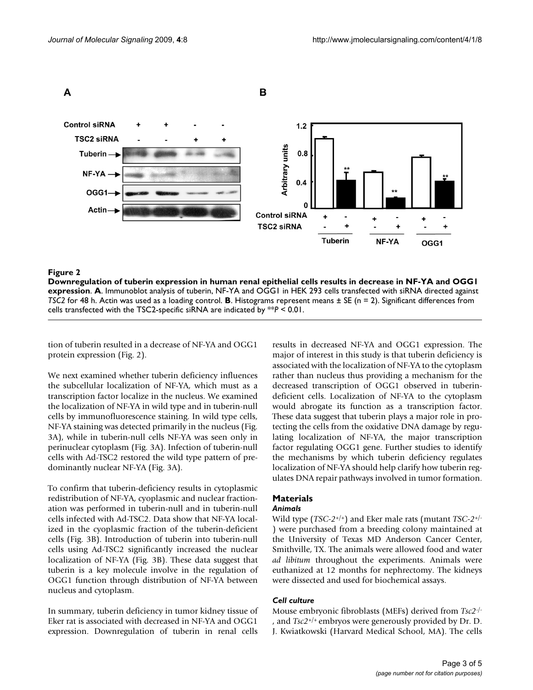

#### Downregulation of tuberin expression in human renal epitheli **Figure 2** al cells results in decrease in NF-YA and OGG1 expression

**Downregulation of tuberin expression in human renal epithelial cells results in decrease in NF-YA and OGG1 expression**. **A**. Immunoblot analysis of tuberin, NF-YA and OGG1 in HEK 293 cells transfected with siRNA directed against *TSC2* for 48 h. Actin was used as a loading control. **B**. Histograms represent means ± SE (n = 2). Significant differences from cells transfected with the TSC2-specific siRNA are indicated by \*\**P* < 0.01.

tion of tuberin resulted in a decrease of NF-YA and OGG1 protein expression (Fig. 2).

We next examined whether tuberin deficiency influences the subcellular localization of NF-YA, which must as a transcription factor localize in the nucleus. We examined the localization of NF-YA in wild type and in tuberin-null cells by immunofluorescence staining. In wild type cells, NF-YA staining was detected primarily in the nucleus (Fig. 3A), while in tuberin-null cells NF-YA was seen only in perinuclear cytoplasm (Fig. 3A). Infection of tuberin-null cells with Ad-TSC2 restored the wild type pattern of predominantly nuclear NF-YA (Fig. 3A).

To confirm that tuberin-deficiency results in cytoplasmic redistribution of NF-YA, cyoplasmic and nuclear fractionation was performed in tuberin-null and in tuberin-null cells infected with Ad-TSC2. Data show that NF-YA localized in the cyoplasmic fraction of the tuberin-deficient cells (Fig. 3B). Introduction of tuberin into tuberin-null cells using Ad-TSC2 significantly increased the nuclear localization of NF-YA (Fig. 3B). These data suggest that tuberin is a key molecule involve in the regulation of OGG1 function through distribution of NF-YA between nucleus and cytoplasm.

In summary, tuberin deficiency in tumor kidney tissue of Eker rat is associated with decreased in NF-YA and OGG1 expression. Downregulation of tuberin in renal cells results in decreased NF-YA and OGG1 expression. The major of interest in this study is that tuberin deficiency is associated with the localization of NF-YA to the cytoplasm rather than nucleus thus providing a mechanism for the decreased transcription of OGG1 observed in tuberindeficient cells. Localization of NF-YA to the cytoplasm would abrogate its function as a transcription factor. These data suggest that tuberin plays a major role in protecting the cells from the oxidative DNA damage by regulating localization of NF-YA, the major transcription factor regulating OGG1 gene. Further studies to identify the mechanisms by which tuberin deficiency regulates localization of NF-YA should help clarify how tuberin regulates DNA repair pathways involved in tumor formation.

# **Materials**

## *Animals*

Wild type (*TSC-2*+/+) and Eker male rats (mutant *TSC-2*+/- ) were purchased from a breeding colony maintained at the University of Texas MD Anderson Cancer Center, Smithville, TX. The animals were allowed food and water *ad libitum* throughout the experiments. Animals were euthanized at 12 months for nephrectomy. The kidneys were dissected and used for biochemical assays.

#### *Cell culture*

Mouse embryonic fibroblasts (MEFs) derived from *Tsc2*-/- , and *Tsc2*+/+ embryos were generously provided by Dr. D. J. Kwiatkowski (Harvard Medical School, MA). The cells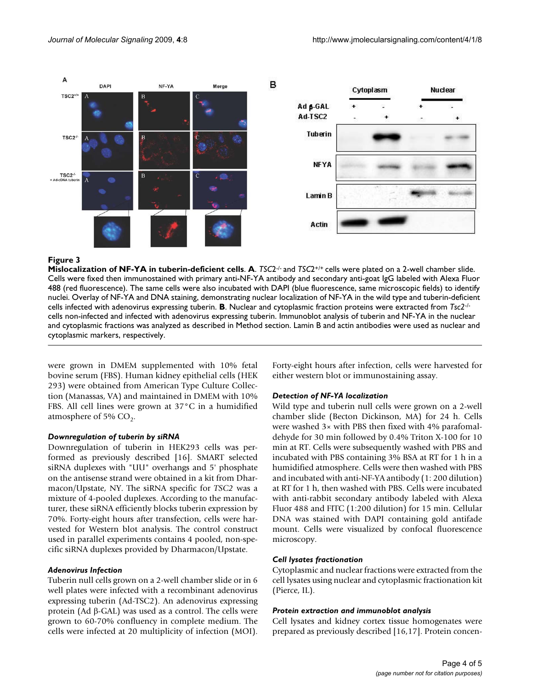

#### **Figure 3**

**Mislocalization of NF-YA in tuberin-deficient cells**. **A**. *TSC*2-/- and *TSC*2+/+ cells were plated on a 2-well chamber slide. Cells were fixed then immunostained with primary anti-NF-YA antibody and secondary anti-goat IgG labeled with Alexa Fluor 488 (red fluorescence). The same cells were also incubated with DAPI (blue fluorescence, same microscopic fields) to identify nuclei. Overlay of NF-YA and DNA staining, demonstrating nuclear localization of NF-YA in the wild type and tuberin-deficient cells infected with adenovirus expressing tuberin. **B**. Nuclear and cytoplasmic fraction proteins were extracted from *Tsc2*-/ cells non-infected and infected with adenovirus expressing tuberin. Immunoblot analysis of tuberin and NF-YA in the nuclear and cytoplasmic fractions was analyzed as described in Method section. Lamin B and actin antibodies were used as nuclear and cytoplasmic markers, respectively.

were grown in DMEM supplemented with 10% fetal bovine serum (FBS). Human kidney epithelial cells (HEK 293) were obtained from American Type Culture Collection (Manassas, VA) and maintained in DMEM with 10% FBS. All cell lines were grown at 37°C in a humidified atmosphere of 5%  $CO<sub>2</sub>$ .

#### *Downregulation of tuberin by siRNA*

Downregulation of tuberin in HEK293 cells was performed as previously described [16]. SMART selected siRNA duplexes with "UU" overhangs and 5' phosphate on the antisense strand were obtained in a kit from Dharmacon/Upstate, NY. The siRNA specific for *TSC2* was a mixture of 4-pooled duplexes. According to the manufacturer, these siRNA efficiently blocks tuberin expression by 70%. Forty-eight hours after transfection, cells were harvested for Western blot analysis. The control construct used in parallel experiments contains 4 pooled, non-specific siRNA duplexes provided by Dharmacon/Upstate.

#### *Adenovirus Infection*

Tuberin null cells grown on a 2-well chamber slide or in 6 well plates were infected with a recombinant adenovirus expressing tuberin (Ad-TSC2). An adenovirus expressing protein (Ad β-GAL) was used as a control. The cells were grown to 60-70% confluency in complete medium. The cells were infected at 20 multiplicity of infection (MOI). Forty-eight hours after infection, cells were harvested for either western blot or immunostaining assay.

#### *Detection of NF-YA localization*

Wild type and tuberin null cells were grown on a 2-well chamber slide (Becton Dickinson, MA) for 24 h. Cells were washed 3× with PBS then fixed with 4% parafomaldehyde for 30 min followed by 0.4% Triton X-100 for 10 min at RT. Cells were subsequently washed with PBS and incubated with PBS containing 3% BSA at RT for 1 h in a humidified atmosphere. Cells were then washed with PBS and incubated with anti-NF-YA antibody (1: 200 dilution) at RT for 1 h, then washed with PBS. Cells were incubated with anti-rabbit secondary antibody labeled with Alexa Fluor 488 and FITC (1:200 dilution) for 15 min. Cellular DNA was stained with DAPI containing gold antifade mount. Cells were visualized by confocal fluorescence microscopy.

# *Cell lysates fractionation*

Cytoplasmic and nuclear fractions were extracted from the cell lysates using nuclear and cytoplasmic fractionation kit (Pierce, IL).

#### *Protein extraction and immunoblot analysis*

Cell lysates and kidney cortex tissue homogenates were prepared as previously described [16,17]. Protein concen-